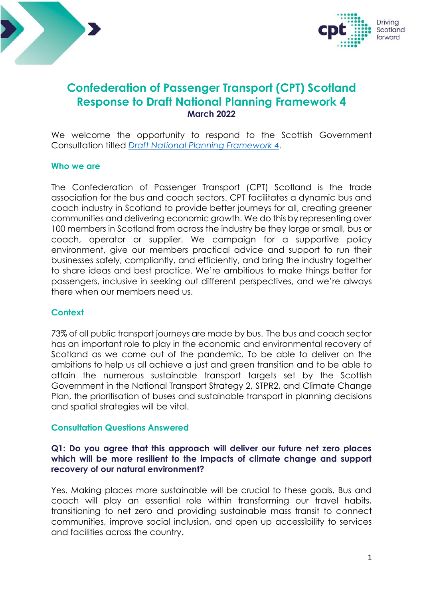



# **Confederation of Passenger Transport (CPT) Scotland Response to Draft National Planning Framework 4 March 2022**

We welcome the opportunity to respond to the Scottish Government Consultation titled *[Draft National Planning Framework 4.](https://consult.gov.scot/local-government-and-communities/draft-national-planning-framework-4/)*

#### **Who we are**

The Confederation of Passenger Transport (CPT) Scotland is the trade association for the bus and coach sectors. CPT facilitates a dynamic bus and coach industry in Scotland to provide better journeys for all, creating greener communities and delivering economic growth. We do this by representing over 100 members in Scotland from across the industry be they large or small, bus or coach, operator or supplier. We campaign for a supportive policy environment, give our members practical advice and support to run their businesses safely, compliantly, and efficiently, and bring the industry together to share ideas and best practice. We're ambitious to make things better for passengers, inclusive in seeking out different perspectives, and we're always there when our members need us.

#### **Context**

73% of all public transport journeys are made by bus. The bus and coach sector has an important role to play in the economic and environmental recovery of Scotland as we come out of the pandemic. To be able to deliver on the ambitions to help us all achieve a just and green transition and to be able to attain the numerous sustainable transport targets set by the Scottish Government in the National Transport Strategy 2, STPR2, and Climate Change Plan, the prioritisation of buses and sustainable transport in planning decisions and spatial strategies will be vital.

#### **Consultation Questions Answered**

## **Q1: Do you agree that this approach will deliver our future net zero places which will be more resilient to the impacts of climate change and support recovery of our natural environment?**

Yes. Making places more sustainable will be crucial to these goals. Bus and coach will play an essential role within transforming our travel habits, transitioning to net zero and providing sustainable mass transit to connect communities, improve social inclusion, and open up accessibility to services and facilities across the country.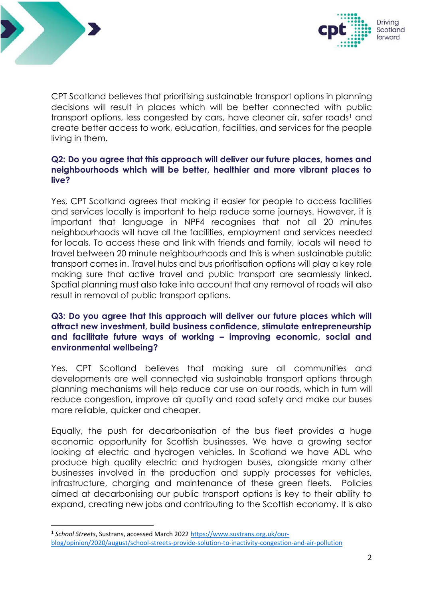



CPT Scotland believes that prioritising sustainable transport options in planning decisions will result in places which will be better connected with public transport options, less congested by cars, have cleaner air, safer roads<sup>1</sup> and create better access to work, education, facilities, and services for the people living in them.

# **Q2: Do you agree that this approach will deliver our future places, homes and neighbourhoods which will be better, healthier and more vibrant places to live?**

Yes, CPT Scotland agrees that making it easier for people to access facilities and services locally is important to help reduce some journeys. However, it is important that language in NPF4 recognises that not all 20 minutes neighbourhoods will have all the facilities, employment and services needed for locals. To access these and link with friends and family, locals will need to travel between 20 minute neighbourhoods and this is when sustainable public transport comes in. Travel hubs and bus prioritisation options will play a key role making sure that active travel and public transport are seamlessly linked. Spatial planning must also take into account that any removal of roads will also result in removal of public transport options.

# **Q3: Do you agree that this approach will deliver our future places which will attract new investment, build business confidence, stimulate entrepreneurship and facilitate future ways of working – improving economic, social and environmental wellbeing?**

Yes. CPT Scotland believes that making sure all communities and developments are well connected via sustainable transport options through planning mechanisms will help reduce car use on our roads, which in turn will reduce congestion, improve air quality and road safety and make our buses more reliable, quicker and cheaper.

Equally, the push for decarbonisation of the bus fleet provides a huge economic opportunity for Scottish businesses. We have a growing sector looking at electric and hydrogen vehicles. In Scotland we have ADL who produce high quality electric and hydrogen buses, alongside many other businesses involved in the production and supply processes for vehicles, infrastructure, charging and maintenance of these green fleets. Policies aimed at decarbonising our public transport options is key to their ability to expand, creating new jobs and contributing to the Scottish economy. It is also

<sup>&</sup>lt;sup>1</sup> School Streets, Sustrans, accessed March 2022 [https://www.sustrans.org.uk/our](https://www.sustrans.org.uk/our-blog/opinion/2020/august/school-streets-provide-solution-to-inactivity-congestion-and-air-pollution)[blog/opinion/2020/august/school-streets-provide-solution-to-inactivity-congestion-and-air-pollution](https://www.sustrans.org.uk/our-blog/opinion/2020/august/school-streets-provide-solution-to-inactivity-congestion-and-air-pollution)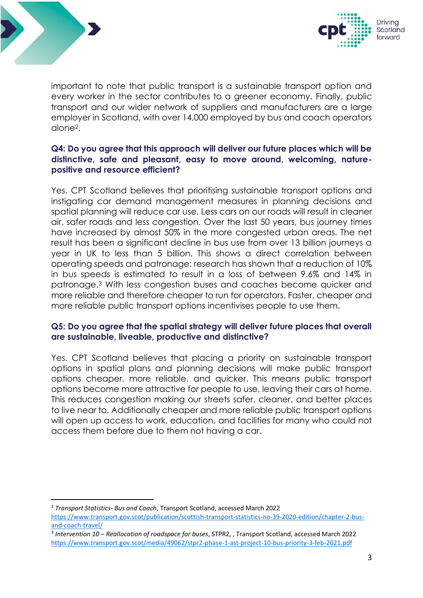



important to note that public transport is a sustainable transport option and every worker in the sector contributes to a greener economy. Finally, public transport and our wider network of suppliers and manufacturers are a large employer in Scotland, with over 14,000 employed by bus and coach operators alone2.

# **Q4: Do you agree that this approach will deliver our future places which will be distinctive, safe and pleasant, easy to move around, welcoming, naturepositive and resource efficient?**

Yes. CPT Scotland believes that prioritising sustainable transport options and instigating car demand management measures in planning decisions and spatial planning will reduce car use. Less cars on our roads will result in cleaner air, safer roads and less congestion. Over the last 50 years, bus journey times have increased by almost 50% in the more congested urban areas. The net result has been a significant decline in bus use from over 13 billion journeys a year in UK to less than 5 billion. This shows a direct correlation between operating speeds and patronage: research has shown that a reduction of 10% in bus speeds is estimated to result in a loss of between 9.6% and 14% in patronage.<sup>3</sup> With less congestion buses and coaches become quicker and more reliable and therefore cheaper to run for operators. Faster, cheaper and more reliable public transport options incentivises people to use them.

## **Q5: Do you agree that the spatial strategy will deliver future places that overall are sustainable, liveable, productive and distinctive?**

Yes. CPT Scotland believes that placing a priority on sustainable transport options in spatial plans and planning decisions will make public transport options cheaper, more reliable, and quicker. This means public transport options become more attractive for people to use, leaving their cars at home. This reduces congestion making our streets safer, cleaner, and better places to live near to. Additionally cheaper and more reliable public transport options will open up access to work, education, and facilities for many who could not access them before due to them not having a car.

<sup>2</sup> *Transport Statistics- Bus and Coach*, Transport Scotland, accessed March 2022 [https://www.transport.gov.scot/publication/scottish-transport-statistics-no-39-2020-edition/chapter-2-bus](https://www.transport.gov.scot/publication/scottish-transport-statistics-no-39-2020-edition/chapter-2-bus-and-coach-travel/)[and-coach-travel/](https://www.transport.gov.scot/publication/scottish-transport-statistics-no-39-2020-edition/chapter-2-bus-and-coach-travel/)

<sup>3</sup> *Intervention 10 – Reallocation of roadspace for buses*, STPR2, , Transport Scotland, accessed March 2022 <https://www.transport.gov.scot/media/49062/stpr2-phase-1-ast-project-10-bus-priority-3-feb-2021.pdf>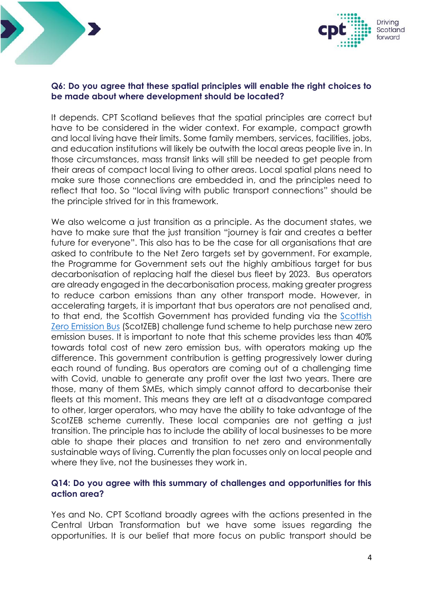



#### **Q6: Do you agree that these spatial principles will enable the right choices to be made about where development should be located?**

It depends. CPT Scotland believes that the spatial principles are correct but have to be considered in the wider context. For example, compact growth and local living have their limits. Some family members, services, facilities, jobs, and education institutions will likely be outwith the local areas people live in. In those circumstances, mass transit links will still be needed to get people from their areas of compact local living to other areas. Local spatial plans need to make sure those connections are embedded in, and the principles need to reflect that too. So "local living with public transport connections" should be the principle strived for in this framework.

We also welcome a just transition as a principle. As the document states, we have to make sure that the just transition "journey is fair and creates a better future for everyone". This also has to be the case for all organisations that are asked to contribute to the Net Zero targets set by government. For example, the Programme for Government sets out the highly ambitious target for bus decarbonisation of replacing half the diesel bus fleet by 2023. Bus operators are already engaged in the decarbonisation process, making greater progress to reduce carbon emissions than any other transport mode. However, in accelerating targets, it is important that bus operators are not penalised and, to that end, the Scottish Government has provided funding via the [Scottish](https://www.transport.gov.scot/public-transport/buses/scottish-zero-emission-bus-challenge-fund/)  [Zero Emission Bus](https://www.transport.gov.scot/public-transport/buses/scottish-zero-emission-bus-challenge-fund/) (ScotZEB) challenge fund scheme to help purchase new zero emission buses. It is important to note that this scheme provides less than 40% towards total cost of new zero emission bus, with operators making up the difference. This government contribution is getting progressively lower during each round of funding. Bus operators are coming out of a challenging time with Covid, unable to generate any profit over the last two years. There are those, many of them SMEs, which simply cannot afford to decarbonise their fleets at this moment. This means they are left at a disadvantage compared to other, larger operators, who may have the ability to take advantage of the ScotZEB scheme currently. These local companies are not getting a just transition. The principle has to include the ability of local businesses to be more able to shape their places and transition to net zero and environmentally sustainable ways of living. Currently the plan focusses only on local people and where they live, not the businesses they work in.

## **Q14: Do you agree with this summary of challenges and opportunities for this action area?**

Yes and No. CPT Scotland broadly agrees with the actions presented in the Central Urban Transformation but we have some issues regarding the opportunities. It is our belief that more focus on public transport should be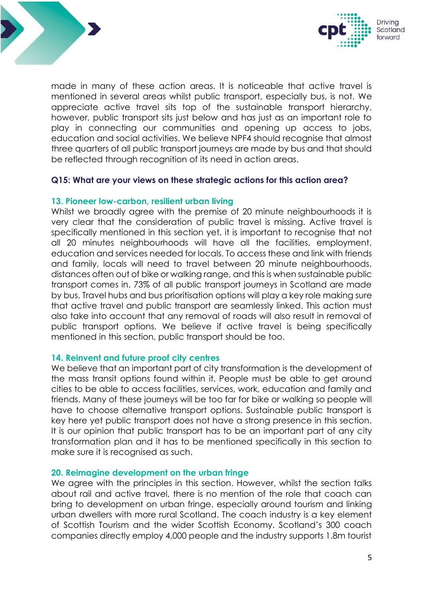



made in many of these action areas. It is noticeable that active travel is mentioned in several areas whilst public transport, especially bus, is not. We appreciate active travel sits top of the sustainable transport hierarchy, however, public transport sits just below and has just as an important role to play in connecting our communities and opening up access to jobs, education and social activities. We believe NPF4 should recognise that almost three quarters of all public transport journeys are made by bus and that should be reflected through recognition of its need in action areas.

#### **Q15: What are your views on these strategic actions for this action area?**

#### **13. Pioneer low-carbon, resilient urban living**

Whilst we broadly agree with the premise of 20 minute neighbourhoods it is very clear that the consideration of public travel is missing. Active travel is specifically mentioned in this section yet, it is important to recognise that not all 20 minutes neighbourhoods will have all the facilities, employment. education and services needed for locals. To access these and link with friends and family, locals will need to travel between 20 minute neighbourhoods, distances often out of bike or walking range, and this is when sustainable public transport comes in. 73% of all public transport journeys in Scotland are made by bus. Travel hubs and bus prioritisation options will play a key role making sure that active travel and public transport are seamlessly linked. This action must also take into account that any removal of roads will also result in removal of public transport options. We believe if active travel is being specifically mentioned in this section, public transport should be too.

#### **14. Reinvent and future proof city centres**

We believe that an important part of city transformation is the development of the mass transit options found within it. People must be able to get around cities to be able to access facilities, services, work, education and family and friends. Many of these journeys will be too far for bike or walking so people will have to choose alternative transport options. Sustainable public transport is key here yet public transport does not have a strong presence in this section. It is our opinion that public transport has to be an important part of any city transformation plan and it has to be mentioned specifically in this section to make sure it is recognised as such.

#### **20. Reimagine development on the urban fringe**

We agree with the principles in this section. However, whilst the section talks about rail and active travel, there is no mention of the role that coach can bring to development on urban fringe, especially around tourism and linking urban dwellers with more rural Scotland. The coach industry is a key element of Scottish Tourism and the wider Scottish Economy. Scotland's 300 coach companies directly employ 4,000 people and the industry supports 1.8m tourist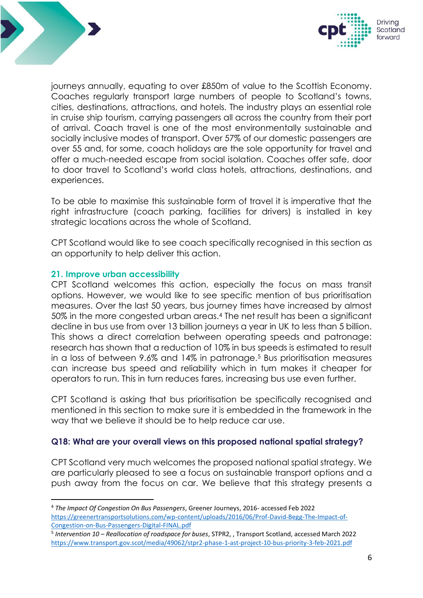



journeys annually, equating to over £850m of value to the Scottish Economy. Coaches regularly transport large numbers of people to Scotland's towns, cities, destinations, attractions, and hotels. The industry plays an essential role in cruise ship tourism, carrying passengers all across the country from their port of arrival. Coach travel is one of the most environmentally sustainable and socially inclusive modes of transport. Over 57% of our domestic passengers are over 55 and, for some, coach holidays are the sole opportunity for travel and offer a much-needed escape from social isolation. Coaches offer safe, door to door travel to Scotland's world class hotels, attractions, destinations, and experiences.

To be able to maximise this sustainable form of travel it is imperative that the right infrastructure (coach parking, facilities for drivers) is installed in key strategic locations across the whole of Scotland.

CPT Scotland would like to see coach specifically recognised in this section as an opportunity to help deliver this action.

## **21. Improve urban accessibility**

CPT Scotland welcomes this action, especially the focus on mass transit options. However, we would like to see specific mention of bus prioritisation measures. Over the last 50 years, bus journey times have increased by almost 50% in the more congested urban areas.<sup>4</sup> The net result has been a significant decline in bus use from over 13 billion journeys a year in UK to less than 5 billion. This shows a direct correlation between operating speeds and patronage: research has shown that a reduction of 10% in bus speeds is estimated to result in a loss of between 9.6% and 14% in patronage.<sup>5</sup> Bus prioritisation measures can increase bus speed and reliability which in turn makes it cheaper for operators to run. This in turn reduces fares, increasing bus use even further.

CPT Scotland is asking that bus prioritisation be specifically recognised and mentioned in this section to make sure it is embedded in the framework in the way that we believe it should be to help reduce car use.

# **Q18: What are your overall views on this proposed national spatial strategy?**

CPT Scotland very much welcomes the proposed national spatial strategy. We are particularly pleased to see a focus on sustainable transport options and a push away from the focus on car. We believe that this strategy presents a

<sup>4</sup> *The Impact Of Congestion On Bus Passengers*, Greener Journeys, 2016- accessed Feb 2022 [https://greenertransportsolutions.com/wp-content/uploads/2016/06/Prof-David-Begg-The-Impact-of-](https://greenertransportsolutions.com/wp-content/uploads/2016/06/Prof-David-Begg-The-Impact-of-Congestion-on-Bus-Passengers-Digital-FINAL.pdf)[Congestion-on-Bus-Passengers-Digital-FINAL.pdf](https://greenertransportsolutions.com/wp-content/uploads/2016/06/Prof-David-Begg-The-Impact-of-Congestion-on-Bus-Passengers-Digital-FINAL.pdf)

<sup>5</sup> *Intervention 10 – Reallocation of roadspace for buses*, STPR2, , Transport Scotland, accessed March 2022 <https://www.transport.gov.scot/media/49062/stpr2-phase-1-ast-project-10-bus-priority-3-feb-2021.pdf>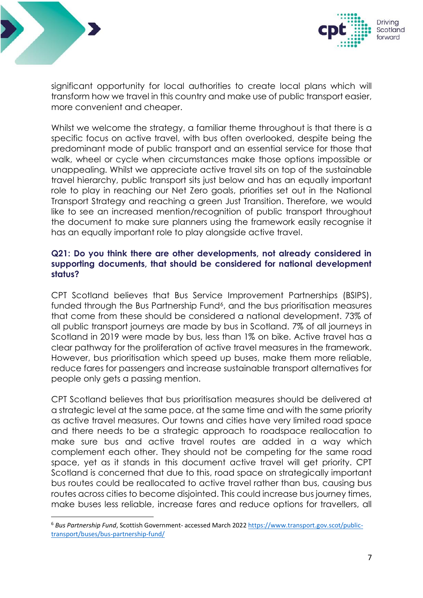



significant opportunity for local authorities to create local plans which will transform how we travel in this country and make use of public transport easier, more convenient and cheaper.

Whilst we welcome the strategy, a familiar theme throughout is that there is a specific focus on active travel, with bus often overlooked, despite being the predominant mode of public transport and an essential service for those that walk, wheel or cycle when circumstances make those options impossible or unappealing. Whilst we appreciate active travel sits on top of the sustainable travel hierarchy, public transport sits just below and has an equally important role to play in reaching our Net Zero goals, priorities set out in the National Transport Strategy and reaching a green Just Transition. Therefore, we would like to see an increased mention/recognition of public transport throughout the document to make sure planners using the framework easily recognise it has an equally important role to play alongside active travel.

# **Q21: Do you think there are other developments, not already considered in supporting documents, that should be considered for national development status?**

CPT Scotland believes that Bus Service Improvement Partnerships (BSIPS), funded through the Bus Partnership Fund<sup>6</sup>, and the bus prioritisation measures that come from these should be considered a national development. 73% of all public transport journeys are made by bus in Scotland. 7% of all journeys in Scotland in 2019 were made by bus, less than 1% on bike. Active travel has a clear pathway for the proliferation of active travel measures in the framework. However, bus prioritisation which speed up buses, make them more reliable, reduce fares for passengers and increase sustainable transport alternatives for people only gets a passing mention.

CPT Scotland believes that bus prioritisation measures should be delivered at a strategic level at the same pace, at the same time and with the same priority as active travel measures. Our towns and cities have very limited road space and there needs to be a strategic approach to roadspace reallocation to make sure bus and active travel routes are added in a way which complement each other. They should not be competing for the same road space, yet as it stands in this document active travel will get priority. CPT Scotland is concerned that due to this, road space on strategically important bus routes could be reallocated to active travel rather than bus, causing bus routes across cities to become disjointed. This could increase bus journey times, make buses less reliable, increase fares and reduce options for travellers, all

<sup>6</sup> *Bus Partnership Fund*, Scottish Government- accessed March 2022 [https://www.transport.gov.scot/public](https://www.transport.gov.scot/public-transport/buses/bus-partnership-fund/)[transport/buses/bus-partnership-fund/](https://www.transport.gov.scot/public-transport/buses/bus-partnership-fund/)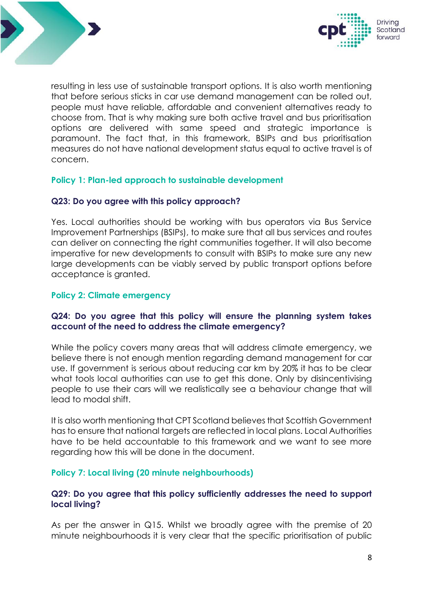



resulting in less use of sustainable transport options. It is also worth mentioning that before serious sticks in car use demand management can be rolled out, people must have reliable, affordable and convenient alternatives ready to choose from. That is why making sure both active travel and bus prioritisation options are delivered with same speed and strategic importance is paramount. The fact that, in this framework, BSIPs and bus prioritisation measures do not have national development status equal to active travel is of concern.

## **Policy 1: Plan-led approach to sustainable development**

## **Q23: Do you agree with this policy approach?**

Yes. Local authorities should be working with bus operators via Bus Service Improvement Partnerships (BSIPs), to make sure that all bus services and routes can deliver on connecting the right communities together. It will also become imperative for new developments to consult with BSIPs to make sure any new large developments can be viably served by public transport options before acceptance is granted.

## **Policy 2: Climate emergency**

# **Q24: Do you agree that this policy will ensure the planning system takes account of the need to address the climate emergency?**

While the policy covers many areas that will address climate emergency, we believe there is not enough mention regarding demand management for car use. If government is serious about reducing car km by 20% it has to be clear what tools local authorities can use to get this done. Only by disincentivising people to use their cars will we realistically see a behaviour change that will lead to modal shift.

It is also worth mentioning that CPT Scotland believes that Scottish Government has to ensure that national targets are reflected in local plans. Local Authorities have to be held accountable to this framework and we want to see more regarding how this will be done in the document.

#### **Policy 7: Local living (20 minute neighbourhoods)**

## **Q29: Do you agree that this policy sufficiently addresses the need to support local living?**

As per the answer in Q15. Whilst we broadly agree with the premise of 20 minute neighbourhoods it is very clear that the specific prioritisation of public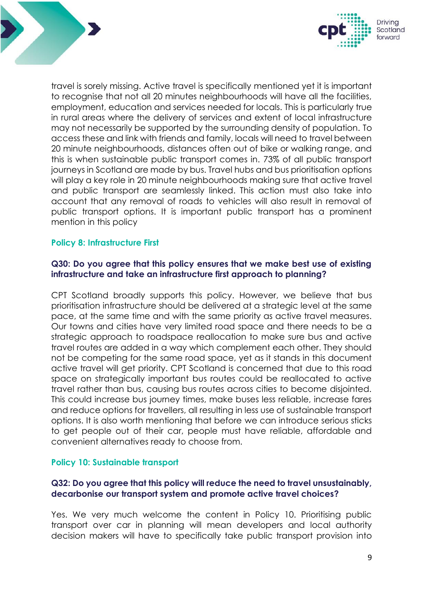



travel is sorely missing. Active travel is specifically mentioned yet it is important to recognise that not all 20 minutes neighbourhoods will have all the facilities, employment, education and services needed for locals. This is particularly true in rural areas where the delivery of services and extent of local infrastructure may not necessarily be supported by the surrounding density of population. To access these and link with friends and family, locals will need to travel between 20 minute neighbourhoods, distances often out of bike or walking range, and this is when sustainable public transport comes in. 73% of all public transport journeys in Scotland are made by bus. Travel hubs and bus prioritisation options will play a key role in 20 minute neighbourhoods making sure that active travel and public transport are seamlessly linked. This action must also take into account that any removal of roads to vehicles will also result in removal of public transport options. It is important public transport has a prominent mention in this policy

# **Policy 8: Infrastructure First**

# **Q30: Do you agree that this policy ensures that we make best use of existing infrastructure and take an infrastructure first approach to planning?**

CPT Scotland broadly supports this policy. However, we believe that bus prioritisation infrastructure should be delivered at a strategic level at the same pace, at the same time and with the same priority as active travel measures. Our towns and cities have very limited road space and there needs to be a strategic approach to roadspace reallocation to make sure bus and active travel routes are added in a way which complement each other. They should not be competing for the same road space, yet as it stands in this document active travel will get priority. CPT Scotland is concerned that due to this road space on strategically important bus routes could be reallocated to active travel rather than bus, causing bus routes across cities to become disjointed. This could increase bus journey times, make buses less reliable, increase fares and reduce options for travellers, all resulting in less use of sustainable transport options. It is also worth mentioning that before we can introduce serious sticks to get people out of their car, people must have reliable, affordable and convenient alternatives ready to choose from.

#### **Policy 10: Sustainable transport**

# **Q32: Do you agree that this policy will reduce the need to travel unsustainably, decarbonise our transport system and promote active travel choices?**

Yes. We very much welcome the content in Policy 10. Prioritising public transport over car in planning will mean developers and local authority decision makers will have to specifically take public transport provision into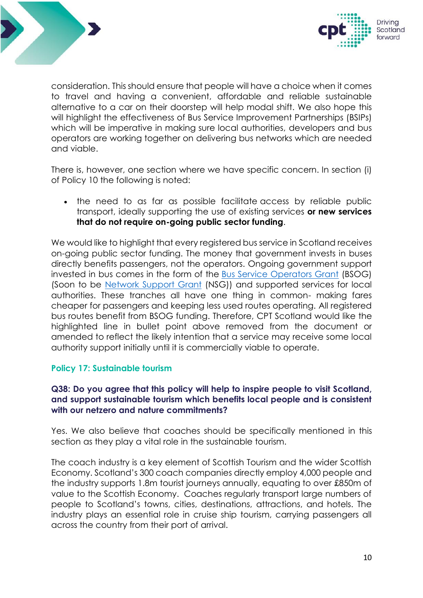



consideration. This should ensure that people will have a choice when it comes to travel and having a convenient, affordable and reliable sustainable alternative to a car on their doorstep will help modal shift. We also hope this will highlight the effectiveness of Bus Service Improvement Partnerships (BSIPs) which will be imperative in making sure local authorities, developers and bus operators are working together on delivering bus networks which are needed and viable.

There is, however, one section where we have specific concern. In section (i) of Policy 10 the following is noted:

• the need to as far as possible facilitate access by reliable public transport, ideally supporting the use of existing services **or new services that do not require on-going public sector funding**.

We would like to highlight that every registered bus service in Scotland receives on-going public sector funding. The money that government invests in buses directly benefits passengers, not the operators. Ongoing government support invested in bus comes in the form of the [Bus Service Operators Grant](https://www.transport.gov.scot/public-transport/buses/bus-services-operators-grant/) (BSOG) (Soon to be [Network Support Grant](https://www.transport.gov.scot/public-transport/buses/network-support-grant/) (NSG)) and supported services for local authorities. These tranches all have one thing in common- making fares cheaper for passengers and keeping less used routes operating. All registered bus routes benefit from BSOG funding. Therefore, CPT Scotland would like the highlighted line in bullet point above removed from the document or amended to reflect the likely intention that a service may receive some local authority support initially until it is commercially viable to operate.

#### **Policy 17: Sustainable tourism**

# **Q38: Do you agree that this policy will help to inspire people to visit Scotland, and support sustainable tourism which benefits local people and is consistent with our netzero and nature commitments?**

Yes. We also believe that coaches should be specifically mentioned in this section as they play a vital role in the sustainable tourism.

The coach industry is a key element of Scottish Tourism and the wider Scottish Economy. Scotland's 300 coach companies directly employ 4,000 people and the industry supports 1.8m tourist journeys annually, equating to over £850m of value to the Scottish Economy. Coaches regularly transport large numbers of people to Scotland's towns, cities, destinations, attractions, and hotels. The industry plays an essential role in cruise ship tourism, carrying passengers all across the country from their port of arrival.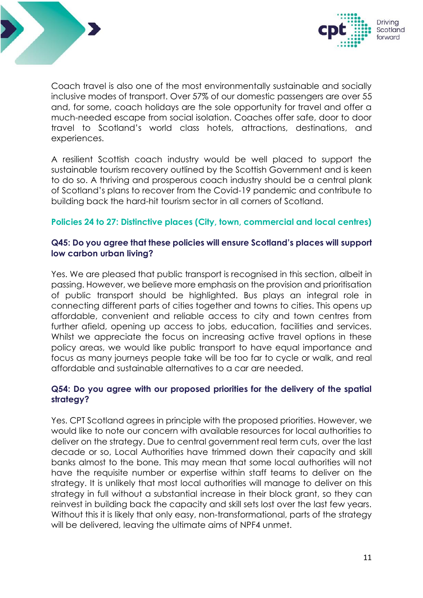



Coach travel is also one of the most environmentally sustainable and socially inclusive modes of transport. Over 57% of our domestic passengers are over 55 and, for some, coach holidays are the sole opportunity for travel and offer a much-needed escape from social isolation. Coaches offer safe, door to door travel to Scotland's world class hotels, attractions, destinations, and experiences.

A resilient Scottish coach industry would be well placed to support the sustainable tourism recovery outlined by the Scottish Government and is keen to do so. A thriving and prosperous coach industry should be a central plank of Scotland's plans to recover from the Covid-19 pandemic and contribute to building back the hard-hit tourism sector in all corners of Scotland.

## **Policies 24 to 27: Distinctive places (City, town, commercial and local centres)**

## **Q45: Do you agree that these policies will ensure Scotland's places will support low carbon urban living?**

Yes. We are pleased that public transport is recognised in this section, albeit in passing. However, we believe more emphasis on the provision and prioritisation of public transport should be highlighted. Bus plays an integral role in connecting different parts of cities together and towns to cities. This opens up affordable, convenient and reliable access to city and town centres from further afield, opening up access to jobs, education, facilities and services. Whilst we appreciate the focus on increasing active travel options in these policy areas, we would like public transport to have equal importance and focus as many journeys people take will be too far to cycle or walk, and real affordable and sustainable alternatives to a car are needed.

# **Q54: Do you agree with our proposed priorities for the delivery of the spatial strategy?**

Yes. CPT Scotland agrees in principle with the proposed priorities. However, we would like to note our concern with available resources for local authorities to deliver on the strategy. Due to central government real term cuts, over the last decade or so, Local Authorities have trimmed down their capacity and skill banks almost to the bone. This may mean that some local authorities will not have the requisite number or expertise within staff teams to deliver on the strategy. It is unlikely that most local authorities will manage to deliver on this strategy in full without a substantial increase in their block grant, so they can reinvest in building back the capacity and skill sets lost over the last few years. Without this it is likely that only easy, non-transformational, parts of the strategy will be delivered, leaving the ultimate aims of NPF4 unmet.